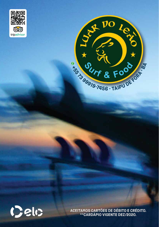





Aceitamos cartões de débito e crédito. \*\*Cardápio vigente DEZ/2020.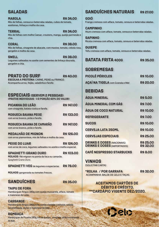## SALADAS

#### MAROLA R\$ 34,00 Mix de folhas, cenoura e beterraba raladas, cubos de tomate, azeitonas, linhaça e molho da casa.

TERRAL R\$ 34,00 Mix de folhas com molho Caesar, croutons, manga, queijo parmesão e chia.

**CORAL** R\$ 38,00 Mix de folhas, vinagrete de abacate, com maxixe, tomate, cebola roxa, gergelim e molho da casa.

**SWELL R\$ 38,00** Legumes salteados no azeite com sementes de linhaça dourada, gergelim e chia.

PRATO DO SURF R\$ 40,00 ESCOLHA A PROTEÍNA: CARNE, PEIXE ou FRANGO. Acompanha arroz, feijão, saladinha e farofa

|  | <b>ESPECIAIS (SERVEM 2 PESSOAS)</b> |                                                |
|--|-------------------------------------|------------------------------------------------|
|  |                                     | (PRATOS INDIVIDUAIS - 1/2 PORÇÃO 60% DO VALOR) |

| PICANHA DO LEÃO<br>com vinagrete, batata rústica e farofa.                                                      | <b>R\$147,00</b> |
|-----------------------------------------------------------------------------------------------------------------|------------------|
| <b>MOGUECA BAIANA PEIXE</b><br>com arroz branco, pirão e farofa.                                                | <b>R\$133,00</b> |
| <b>MOGUECA BAIANA DE CAMARÃO</b><br>com arroz branco, pirão e farofa.                                           | <b>R\$147,00</b> |
| <b>MEDALHÃO DE MIGNON</b><br>com arroz piamontese, mix de folhas e molho da casa.                               | <b>R\$126,00</b> |
| <b>PEIXE DO LUAR</b><br>com arroz de coco, legumes salteados no azeite e molho especial.                        | <b>R\$124,00</b> |
| <b>SPAGHETTI GRANO DURO</b><br><b>MOLHOS:</b> filé mignon na ponta da faca ou camarão.<br>Spaghetti Grano Duro. | <b>R\$103,00</b> |

SPAGHETTI VEG de legumes e especiarias R\$ 78,00

MOLHOS: gorgonzola ou tomates frescos.

# SANDUÍCHES R\$ 35,00

TAIPU DE FORA Hambúrguer Angus 180g com queijo mussarela, alface, tomate e maionese do Leão.

CASSANGE Hambúrguer Angus 180g com queijo cheddar cremoso, cebola caramelizada, picles e maionese do leão.

#### **BOMBACA** Hambúrguer de Picanha 180g, trio de queijos, vinagrete, alface e maionese do leão.

## SANDUÍCHES NATURAIS R\$ 27,00

GOIÓ Frango cremoso com alface, tomate, cenoura e beterraba raladas.

CAMPINHO Atum cremoso com alface, tomate, cenoura e beterraba raladas.

**SAPINHO** Ricota cremosa com alface, tomate, cenoura e beterraba raladas.

**GUIEPE** Tofu cremoso com alface, tomate, cenoura e beterraba raladas.

### **BATATA FRITA 4006 R\$ 35,00**

## **SOBREMESAS**

| <b>PICOLÉ PÉRICLES</b>                                                  | <b>R\$10,00</b>               |
|-------------------------------------------------------------------------|-------------------------------|
| AÇAÍ NA TIGELA com Granola e Mel                                        | <b>R\$ 20,00</b>              |
| <b>BEBIDAS</b>                                                          |                               |
| <b>ÁGUA MINERAL</b>                                                     | <b>R\$ 5,00</b>               |
| <b>ÁGUA MINERAL COM GÁS</b>                                             | <b>R\$ 7,00</b>               |
| <b>ÁGUA DE COCO NATURAL</b>                                             | <b>R\$10,00</b>               |
| <b>REFRIGERANTE</b>                                                     | <b>R\$ 7,00</b>               |
| <b>SUCOS</b>                                                            | <b>R\$10,00</b>               |
| <b>CERVEJA LATA 350ML</b>                                               | <b>R\$10,00</b>               |
| <b>CERVEJAS ESPECIAIS</b>                                               | <b>R\$ 25,00</b>              |
| <b>DRINKS E DOSES (NACIONAIS)</b><br><b>DRINKS E DOSES (IMPORTADOS)</b> | <b>R\$ 25,00</b><br>R\$ 32,00 |
| <b>CAFÉ NESPRESSO STARBUCKS</b>                                         | <b>R\$ 8,00</b>               |

VINHOS (SOLICITAR CARTA)

\*ROLHA / por garrafa R\$ 32,00 ACOMPANHA: BALDE DE GELO E TAÇAS

Aceitamos cartões de débito e crédito. \*\*Cardápio vigente DEZ/2020.

Gelo